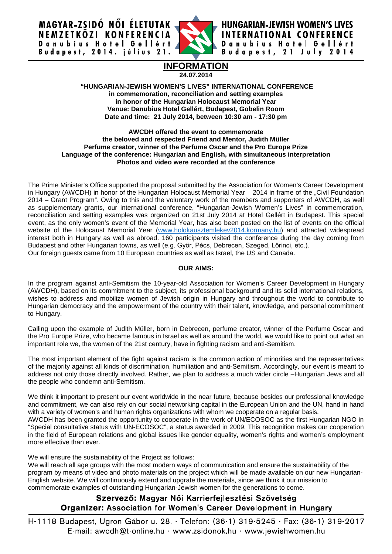

## **INFORMATION 24.07.2014**

#### **"HUNGARIAN-JEWISH WOMEN'S LIVES" INTERNATIONAL CONFERENCE in commemoration, reconciliation and setting examples in honor of the Hungarian Holocaust Memorial Year Venue: Danubius Hotel Gellért, Budapest, Gobelin Room Date and time: 21 July 2014, between 10:30 am - 17:30 pm**

### **AWCDH offered the event to commemorate the beloved and respected Friend and Mentor, Judith Müller Perfume creator, winner of the Perfume Oscar and the Pro Europe Prize Language of the conference: Hungarian and English, with simultaneous interpretation Photos and video were recorded at the conference**

The Prime Minister's Office supported the proposal submitted by the Association for Women's Career Development in Hungary (AWCDH) in honor of the Hungarian Holocaust Memorial Year – 2014 in frame of the "Civil Foundation 2014 – Grant Program". Owing to this and the voluntary work of the members and supporters of AWCDH, as well as supplementary grants, our international conference, "Hungarian-Jewish Women's Lives" in commemoration, reconciliation and setting examples was organized on 21st July 2014 at Hotel Gellért in Budapest. This special event, as the only women's event of the Memorial Year, has also been posted on the list of events on the official website of the Holocaust Memorial Year [\(www.holokausztemlekev2014.kormany.hu\)](http://www.holokausztemlekev2014.kormany.hu/) and attracted widespread interest both in Hungary as well as abroad. 160 participants visited the conference during the day coming from Budapest and other Hungarian towns, as well (e.g. Győr, Pécs, Debrecen, Szeged, Lőrinci, etc.). Our foreign guests came from 10 European countries as well as Israel, the US and Canada.

## **OUR AIMS:**

In the program against anti-Semitism the 10-year-old Association for Women's Career Development in Hungary (AWCDH), based on its commitment to the subject, its professional background and its solid international relations, wishes to address and mobilize women of Jewish origin in Hungary and throughout the world to contribute to Hungarian democracy and the empowerment of the country with their talent, knowledge, and personal commitment to Hungary.

Calling upon the example of Judith Müller, born in Debrecen, perfume creator, winner of the Perfume Oscar and the Pro Europe Prize, who became famous in Israel as well as around the world, we would like to point out what an important role we, the women of the 21st century, have in fighting racism and anti-Semitism.

The most important element of the fight against racism is the common action of minorities and the representatives of the majority against all kinds of discrimination, humiliation and anti-Semitism. Accordingly, our event is meant to address not only those directly involved. Rather, we plan to address a much wider circle –Hungarian Jews and all the people who condemn anti-Semitism.

We think it important to present our event worldwide in the near future, because besides our professional knowledge and commitment, we can also rely on our social networking capital in the European Union and the UN, hand in hand with a variety of women's and human rights organizations with whom we cooperate on a regular basis. AWCDH has been granted the opportunity to cooperate in the work of UN/ECOSOC as the first Hungarian NGO in "Special consultative status with UN-ECOSOC", a status awarded in 2009. This recognition makes our cooperation in the field of European relations and global issues like gender equality, women's rights and women's employment more effective than ever.

We will ensure the sustainability of the Project as follows:

We will reach all age groups with the most modern ways of communication and ensure the sustainability of the program by means of video and photo materials on the project which will be made available on our new Hungarian-English website. We will continuously extend and upgrate the materials, since we think it our mission to commemorate examples of outstanding Hungarian-Jewish women for the generations to come.

# Szervező: Magyar Női Karrierfejlesztési Szövetség **Organizer: Association for Women's Career Development in Hungary**

H-1118 Budapest, Ugron Gábor u. 28. · Telefon: (36-1) 319-5245 · Fax: (36-1) 319-2017 E-mail:  $awcdh@t$ -online.hu · www.zsidonok.hu · www.jewishwomen.hu